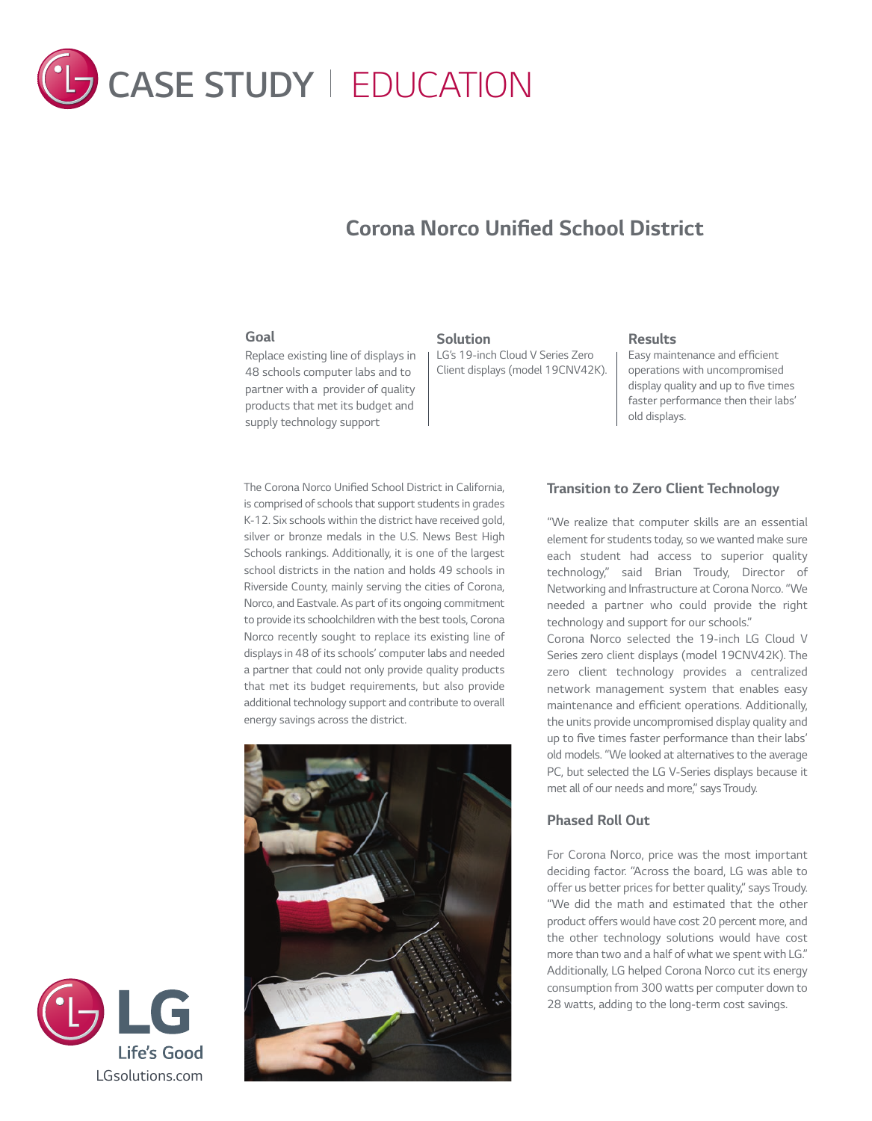

# *Corona Norco Unified School District*

#### *Goal*

*Replace existing line of displays in 48 schools computer labs and to partner with a provider of quality products that met its budget and supply technology support*

#### *Solution*

*LG's 19-inch Cloud V Series Zero Client displays (model 19CNV42K).*

## *Results*

*Easy maintenance and efficient operations with uncompromised display quality and up to five times faster performance then their labs' old displays.*

*The Corona Norco Unified School District in California, is comprised of schools that support students in grades K-12. Six schools within the district have received gold, silver or bronze medals in the U.S. News Best High Schools rankings. Additionally, it is one of the largest school districts in the nation and holds 49 schools in Riverside County, mainly serving the cities of Corona, Norco, and Eastvale. As part of its ongoing commitment to provide its schoolchildren with the best tools, Corona Norco recently sought to replace its existing line of displays in 48 of its schools' computer labs and needed a partner that could not only provide quality products that met its budget requirements, but also provide additional technology support and contribute to overall energy savings across the district.* 



## *Transition to Zero Client Technology*

*"We realize that computer skills are an essential element for students today, so we wanted make sure each student had access to superior quality technology," said Brian Troudy, Director of Networking and Infrastructure at Corona Norco. "We needed a partner who could provide the right technology and support for our schools."*

*Corona Norco selected the 19-inch LG Cloud V Series zero client displays (model 19CNV42K). The zero client technology provides a centralized network management system that enables easy maintenance and efficient operations. Additionally, the units provide uncompromised display quality and up to five times faster performance than their labs' old models. "We looked at alternatives to the average PC, but selected the LG V-Series displays because it met all of our needs and more," says Troudy.* 

## *Phased Roll Out*

*For Corona Norco, price was the most important deciding factor. "Across the board, LG was able to offer us better prices for better quality," says Troudy. "We did the math and estimated that the other product offers would have cost 20 percent more, and the other technology solutions would have cost more than two and a half of what we spent with LG." Additionally, LG helped Corona Norco cut its energy consumption from 300 watts per computer down to 28 watts, adding to the long-term cost savings.*